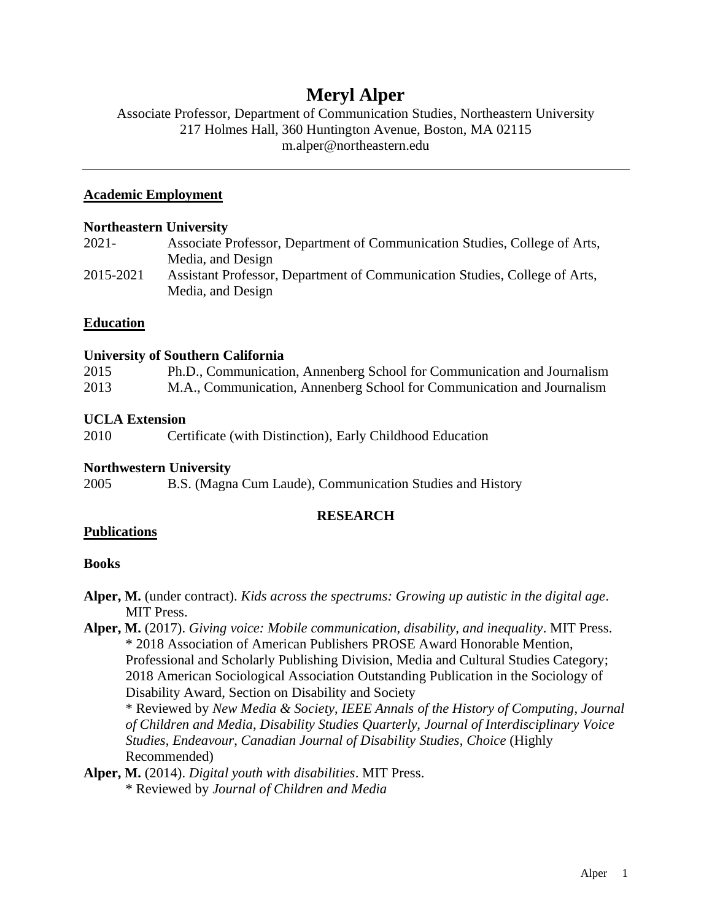# **Meryl Alper**

# Associate Professor, Department of Communication Studies, Northeastern University 217 Holmes Hall, 360 Huntington Avenue, Boston, MA 02115 m.alper@northeastern.edu

### **Academic Employment**

#### **Northeastern University**

| 2021-     | Associate Professor, Department of Communication Studies, College of Arts, |
|-----------|----------------------------------------------------------------------------|
|           | Media, and Design                                                          |
| 2015-2021 | Assistant Professor, Department of Communication Studies, College of Arts, |
|           | Media, and Design                                                          |

### **Education**

#### **University of Southern California**

| 2015 | Ph.D., Communication, Annenberg School for Communication and Journalism |
|------|-------------------------------------------------------------------------|
| 2013 | M.A., Communication, Annenberg School for Communication and Journalism  |

### **UCLA Extension**

2010 Certificate (with Distinction), Early Childhood Education

### **Northwestern University**

2005 B.S. (Magna Cum Laude), Communication Studies and History

### **RESEARCH**

### **Publications**

### **Books**

- **Alper, M.** (under contract). *Kids across the spectrums: Growing up autistic in the digital age*. MIT Press.
- **Alper, M.** (2017). *Giving voice: Mobile communication, disability, and inequality*. MIT Press. \* 2018 Association of American Publishers PROSE Award Honorable Mention, Professional and Scholarly Publishing Division, Media and Cultural Studies Category; 2018 American Sociological Association Outstanding Publication in the Sociology of Disability Award, Section on Disability and Society

\* Reviewed by *New Media & Society*, *IEEE Annals of the History of Computing*, *Journal of Children and Media*, *Disability Studies Quarterly, Journal of Interdisciplinary Voice Studies*, *Endeavour*, *Canadian Journal of Disability Studies*, *Choice* (Highly Recommended)

**Alper, M.** (2014). *Digital youth with disabilities*. MIT Press.

\* Reviewed by *Journal of Children and Media*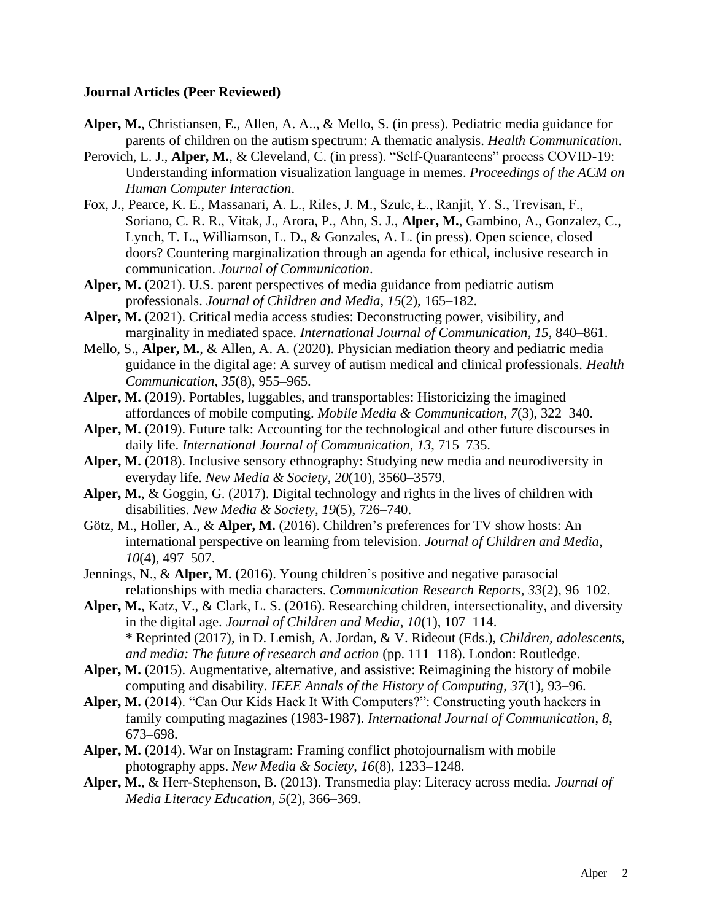#### **Journal Articles (Peer Reviewed)**

- **Alper, M.**, Christiansen, E., Allen, A. A.., & Mello, S. (in press). Pediatric media guidance for parents of children on the autism spectrum: A thematic analysis. *Health Communication*.
- Perovich, L. J., **Alper, M.**, & Cleveland, C. (in press). "Self-Quaranteens" process COVID-19: Understanding information visualization language in memes. *Proceedings of the ACM on Human Computer Interaction*.
- Fox, J., Pearce, K. E., Massanari, A. L., Riles, J. M., Szulc, Ł., Ranjit, Y. S., Trevisan, F., Soriano, C. R. R., Vitak, J., Arora, P., Ahn, S. J., **Alper, M.**, Gambino, A., Gonzalez, C., Lynch, T. L., Williamson, L. D., & Gonzales, A. L. (in press). Open science, closed doors? Countering marginalization through an agenda for ethical, inclusive research in communication. *Journal of Communication*.
- **Alper, M.** (2021). U.S. parent perspectives of media guidance from pediatric autism professionals. *Journal of Children and Media*, *15*(2), 165–182.
- **Alper, M.** (2021). Critical media access studies: Deconstructing power, visibility, and marginality in mediated space. *International Journal of Communication*, *15*, 840–861.
- Mello, S., **Alper, M.**, & Allen, A. A. (2020). Physician mediation theory and pediatric media guidance in the digital age: A survey of autism medical and clinical professionals. *Health Communication*, *35*(8), 955–965.
- **Alper, M.** (2019). Portables, luggables, and transportables: Historicizing the imagined affordances of mobile computing. *Mobile Media & Communication*, *7*(3), 322–340.
- Alper, M. (2019). Future talk: Accounting for the technological and other future discourses in daily life. *International Journal of Communication*, *13*, 715–735.
- **Alper, M.** (2018). Inclusive sensory ethnography: Studying new media and neurodiversity in everyday life. *New Media & Society*, *20*(10), 3560–3579.
- **Alper, M.**, & Goggin, G. (2017). Digital technology and rights in the lives of children with disabilities. *New Media & Society*, *19*(5), 726–740.
- Götz, M., Holler, A., & **Alper, M.** (2016). Children's preferences for TV show hosts: An international perspective on learning from television. *Journal of Children and Media*, *10*(4), 497–507.
- Jennings, N., & **Alper, M.** (2016). Young children's positive and negative parasocial relationships with media characters. *Communication Research Reports*, *33*(2), 96–102.
- **Alper, M.**, Katz, V., & Clark, L. S. (2016). Researching children, intersectionality, and diversity in the digital age. *Journal of Children and Media*, *10*(1), 107–114. \* Reprinted (2017), in D. Lemish, A. Jordan, & V. Rideout (Eds.), *Children, adolescents, and media: The future of research and action* (pp. 111–118). London: Routledge.
- **Alper, M.** (2015). Augmentative, alternative, and assistive: Reimagining the history of mobile computing and disability. *IEEE Annals of the History of Computing*, *37*(1), 93–96.
- **Alper, M.** (2014). "Can Our Kids Hack It With Computers?": Constructing youth hackers in family computing magazines (1983-1987). *International Journal of Communication*, *8*, 673–698.
- **Alper, M.** (2014). War on Instagram: Framing conflict photojournalism with mobile photography apps. *New Media & Society*, *16*(8), 1233–1248.
- **Alper, M.**, & Herr-Stephenson, B. (2013). Transmedia play: Literacy across media. *Journal of Media Literacy Education*, *5*(2), 366–369.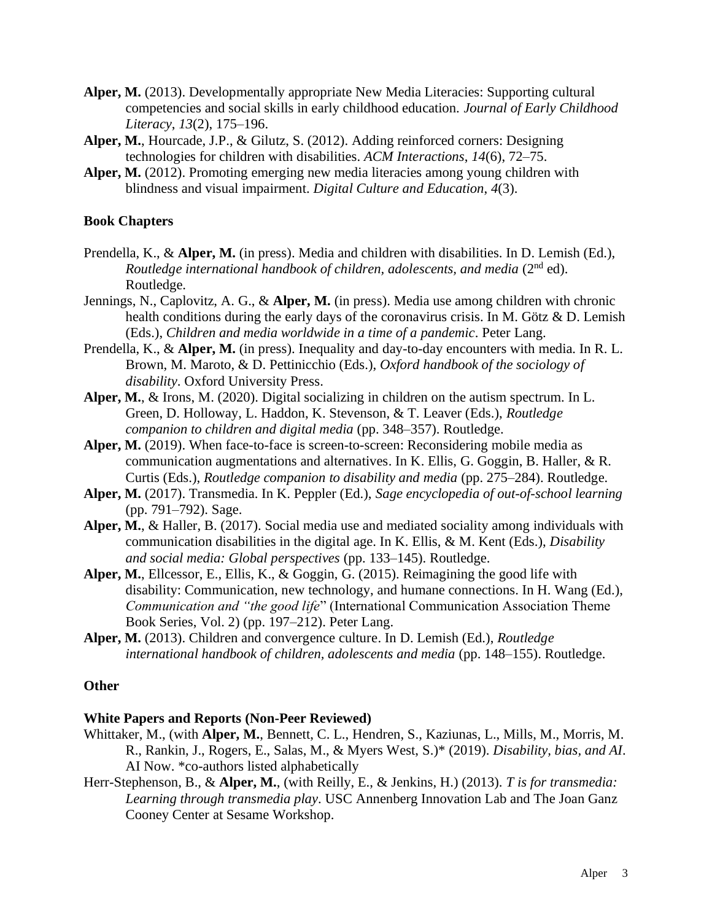- **Alper, M.** (2013). Developmentally appropriate New Media Literacies: Supporting cultural competencies and social skills in early childhood education. *Journal of Early Childhood Literacy*, *13*(2), 175–196.
- **Alper, M.**, Hourcade, J.P., & Gilutz, S. (2012). Adding reinforced corners: Designing technologies for children with disabilities. *ACM Interactions*, *14*(6), 72–75.
- **Alper, M.** (2012). Promoting emerging new media literacies among young children with blindness and visual impairment. *Digital Culture and Education*, *4*(3).

# **Book Chapters**

- Prendella, K., & **Alper, M.** (in press). Media and children with disabilities. In D. Lemish (Ed.), *Routledge international handbook of children, adolescents, and media* (2<sup>nd</sup> ed). Routledge.
- Jennings, N., Caplovitz, A. G., & **Alper, M.** (in press). Media use among children with chronic health conditions during the early days of the coronavirus crisis. In M. Götz & D. Lemish (Eds.), *Children and media worldwide in a time of a pandemic*. Peter Lang.
- Prendella, K., & **Alper, M.** (in press). Inequality and day-to-day encounters with media. In R. L. Brown, M. Maroto, & D. Pettinicchio (Eds.), *Oxford handbook of the sociology of disability*. Oxford University Press.
- **Alper, M.**, & Irons, M. (2020). Digital socializing in children on the autism spectrum. In L. Green, D. Holloway, L. Haddon, K. Stevenson, & T. Leaver (Eds.), *Routledge companion to children and digital media* (pp. 348–357). Routledge.
- **Alper, M.** (2019). When face-to-face is screen-to-screen: Reconsidering mobile media as communication augmentations and alternatives. In K. Ellis, G. Goggin, B. Haller, & R. Curtis (Eds.), *Routledge companion to disability and media* (pp. 275–284). Routledge.
- **Alper, M.** (2017). Transmedia. In K. Peppler (Ed.), *Sage encyclopedia of out-of-school learning* (pp. 791–792). Sage.
- **Alper, M.**, & Haller, B. (2017). Social media use and mediated sociality among individuals with communication disabilities in the digital age. In K. Ellis, & M. Kent (Eds.), *Disability and social media: Global perspectives* (pp. 133–145). Routledge.
- **Alper, M.**, Ellcessor, E., Ellis, K., & Goggin, G. (2015). Reimagining the good life with disability: Communication, new technology, and humane connections. In H. Wang (Ed.), *Communication and "the good life*" (International Communication Association Theme Book Series, Vol. 2) (pp. 197–212). Peter Lang.
- **Alper, M.** (2013). Children and convergence culture. In D. Lemish (Ed.), *Routledge international handbook of children, adolescents and media* (pp. 148–155). Routledge.

### **Other**

### **White Papers and Reports (Non-Peer Reviewed)**

- Whittaker, M., (with **Alper, M.**, Bennett, C. L., Hendren, S., Kaziunas, L., Mills, M., Morris, M. R., Rankin, J., Rogers, E., Salas, M., & Myers West, S.)\* (2019). *Disability, bias, and AI*. AI Now. \*co-authors listed alphabetically
- Herr-Stephenson, B., & **Alper, M.**, (with Reilly, E., & Jenkins, H.) (2013). *T is for transmedia: Learning through transmedia play*. USC Annenberg Innovation Lab and The Joan Ganz Cooney Center at Sesame Workshop.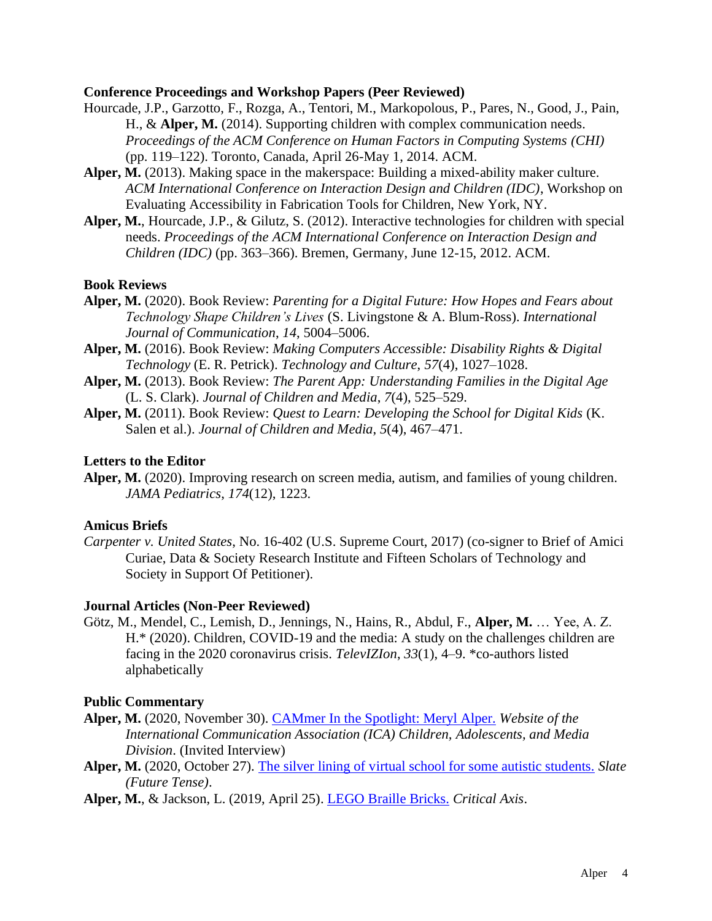#### **Conference Proceedings and Workshop Papers (Peer Reviewed)**

- Hourcade, J.P., Garzotto, F., Rozga, A., Tentori, M., Markopolous, P., Pares, N., Good, J., Pain, H., & **Alper, M.** (2014). Supporting children with complex communication needs. *Proceedings of the ACM Conference on Human Factors in Computing Systems (CHI)* (pp. 119–122). Toronto, Canada, April 26-May 1, 2014. ACM.
- **Alper, M.** (2013). Making space in the makerspace: Building a mixed-ability maker culture. *ACM International Conference on Interaction Design and Children (IDC)*, Workshop on Evaluating Accessibility in Fabrication Tools for Children, New York, NY.
- **Alper, M.**, Hourcade, J.P., & Gilutz, S. (2012). Interactive technologies for children with special needs. *Proceedings of the ACM International Conference on Interaction Design and Children (IDC)* (pp. 363–366). Bremen, Germany, June 12-15, 2012. ACM.

### **Book Reviews**

- **Alper, M.** (2020). Book Review: *Parenting for a Digital Future: How Hopes and Fears about Technology Shape Children's Lives* (S. Livingstone & A. Blum-Ross). *International Journal of Communication*, *14*, 5004–5006.
- **Alper, M.** (2016). Book Review: *Making Computers Accessible: Disability Rights & Digital Technology* (E. R. Petrick). *Technology and Culture*, *57*(4), 1027–1028.
- **Alper, M.** (2013). Book Review: *The Parent App: Understanding Families in the Digital Age* (L. S. Clark). *Journal of Children and Media*, *7*(4), 525–529.
- **Alper, M.** (2011). Book Review: *Quest to Learn: Developing the School for Digital Kids* (K. Salen et al.). *Journal of Children and Media*, *5*(4), 467–471.

### **Letters to the Editor**

**Alper, M.** (2020). Improving research on screen media, autism, and families of young children. *JAMA Pediatrics*, *174*(12), 1223.

### **Amicus Briefs**

*Carpenter v. United States*, No. 16-402 (U.S. Supreme Court, 2017) (co-signer to Brief of Amici Curiae, Data & Society Research Institute and Fifteen Scholars of Technology and Society in Support Of Petitioner).

# **Journal Articles (Non-Peer Reviewed)**

Götz, M., Mendel, C., Lemish, D., Jennings, N., Hains, R., Abdul, F., **Alper, M.** … Yee, A. Z. H.\* (2020). Children, COVID-19 and the media: A study on the challenges children are facing in the 2020 coronavirus crisis. *TelevIZIon*, *33*(1), 4–9. \*co-authors listed alphabetically

### **Public Commentary**

- **Alper, M.** (2020, November 30). [CAMmer In the Spotlight: Meryl Alper.](https://ica-cam.org/in-the-spotlight/meryl-alper/) *Website of the International Communication Association (ICA) Children, Adolescents, and Media Division*. (Invited Interview)
- **Alper, M.** (2020, October 27). [The silver lining of virtual school for some autistic students.](https://slate.com/technology/2020/10/virtual-school-autistic-students-social-life.html) *Slate (Future Tense)*.
- **Alper, M.**, & Jackson, L. (2019, April 25). [LEGO Braille Bricks.](http://www.criticalaxis.org/critique/lego-braille-bricks/) *Critical Axis*.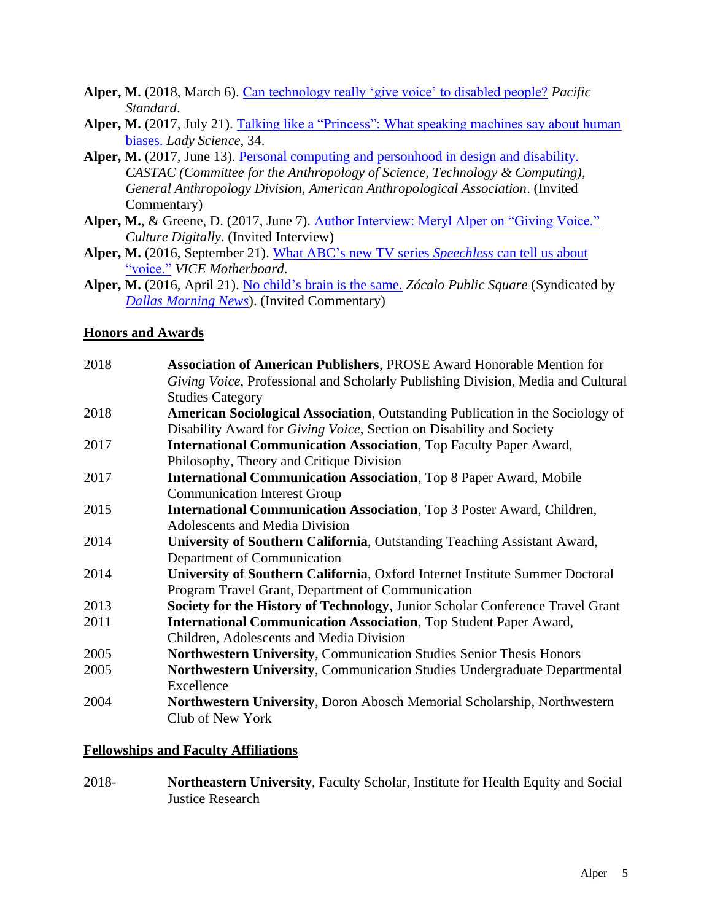- **Alper, M.** (2018, March 6). [Can technology really 'give voice' to disabled people?](https://psmag.com/social-justice/can-technology-really-give-voice-to-disabled-people) *Pacific Standard*.
- **Alper, M.** (2017, July 21). [Talking like a "Princess": What speaking machines say about human](https://thenewinquiry.com/blog/talking-like-a-princess-what-speaking-machines-say-about-human-biases/) [biases.](https://thenewinquiry.com/blog/talking-like-a-princess-what-speaking-machines-say-about-human-biases/) *Lady Science*, 34.
- Alper, M. (2017, June 13). [Personal computing and personhood in design and disability.](http://blog.castac.org/2017/06/computing-design-disability/) *CASTAC (Committee for the Anthropology of Science, Technology & Computing), General Anthropology Division, American Anthropological Association*. (Invited Commentary)
- **Alper, M.**, & Greene, D. (2017, June 7). [Author Interview: Meryl Alper on "Giving Voice."](http://culturedigitally.org/2017/06/author-interview-meryl-alper-on-giving-voice/) *Culture Digitally*. (Invited Interview)
- **Alper, M.** (2016, September 21). [What ABC's new](https://www.vice.com/en_us/article/wnxpv4/what-abcs-new-tv-series-speechless-can-tell-us-about-voice) TV series *Speechless* can tell us about ["voice."](https://www.vice.com/en_us/article/wnxpv4/what-abcs-new-tv-series-speechless-can-tell-us-about-voice) *VICE Motherboard*.
- **Alper, M.** (2016, April 21). [No child's brain is the same.](http://www.zocalopublicsquare.org/2016/04/21/what-constant-screen-time-does-to-kids-brains/ideas/up-for-discussion/) *Zócalo Public Square* (Syndicated by *[Dallas Morning News](http://www.dallasnews.com/opinion/commentary/2016/04/26/what-is-constant-internet-doing-to-our-children)*). (Invited Commentary)

# **Honors and Awards**

| 2018 | <b>Association of American Publishers, PROSE Award Honorable Mention for</b>           |
|------|----------------------------------------------------------------------------------------|
|      | Giving Voice, Professional and Scholarly Publishing Division, Media and Cultural       |
|      | <b>Studies Category</b>                                                                |
| 2018 | <b>American Sociological Association</b> , Outstanding Publication in the Sociology of |
|      | Disability Award for <i>Giving Voice</i> , Section on Disability and Society           |
| 2017 | <b>International Communication Association</b> , Top Faculty Paper Award,              |
|      | Philosophy, Theory and Critique Division                                               |
| 2017 | <b>International Communication Association</b> , Top 8 Paper Award, Mobile             |
|      | <b>Communication Interest Group</b>                                                    |
| 2015 | International Communication Association, Top 3 Poster Award, Children,                 |
|      | <b>Adolescents and Media Division</b>                                                  |
| 2014 | University of Southern California, Outstanding Teaching Assistant Award,               |
|      | Department of Communication                                                            |
| 2014 | University of Southern California, Oxford Internet Institute Summer Doctoral           |
|      | Program Travel Grant, Department of Communication                                      |
| 2013 | <b>Society for the History of Technology, Junior Scholar Conference Travel Grant</b>   |
| 2011 | <b>International Communication Association</b> , Top Student Paper Award,              |
|      | Children, Adolescents and Media Division                                               |
| 2005 | <b>Northwestern University, Communication Studies Senior Thesis Honors</b>             |
| 2005 | <b>Northwestern University, Communication Studies Undergraduate Departmental</b>       |
|      | Excellence                                                                             |
| 2004 | Northwestern University, Doron Abosch Memorial Scholarship, Northwestern               |
|      | Club of New York                                                                       |

### **Fellowships and Faculty Affiliations**

2018- **Northeastern University**, Faculty Scholar, Institute for Health Equity and Social Justice Research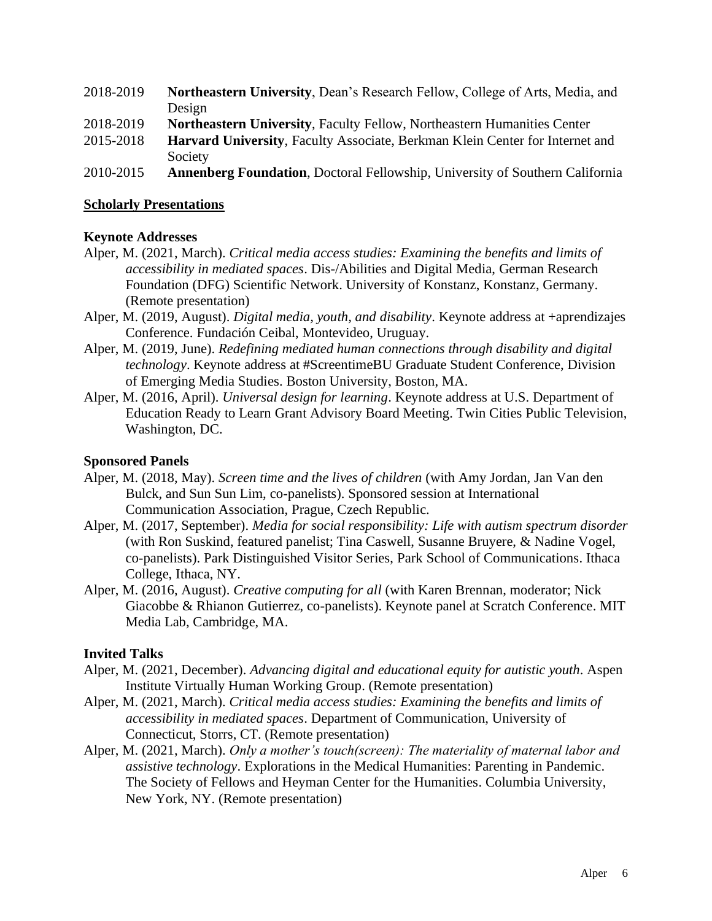- 2018-2019 **Northeastern University**, Dean's Research Fellow, College of Arts, Media, and Design
- 2018-2019 **Northeastern University**, Faculty Fellow, Northeastern Humanities Center
- 2015-2018 **Harvard University**, Faculty Associate, Berkman Klein Center for Internet and Society
- 2010-2015 **Annenberg Foundation**, Doctoral Fellowship, University of Southern California

### **Scholarly Presentations**

# **Keynote Addresses**

- Alper, M. (2021, March). *Critical media access studies: Examining the benefits and limits of accessibility in mediated spaces*. Dis-/Abilities and Digital Media, German Research Foundation (DFG) Scientific Network. University of Konstanz, Konstanz, Germany. (Remote presentation)
- Alper, M. (2019, August). *Digital media, youth, and disability*. Keynote address at +aprendizajes Conference. Fundación Ceibal, Montevideo, Uruguay.
- Alper, M. (2019, June). *Redefining mediated human connections through disability and digital technology*. Keynote address at #ScreentimeBU Graduate Student Conference, Division of Emerging Media Studies. Boston University, Boston, MA.
- Alper, M. (2016, April). *Universal design for learning*. Keynote address at U.S. Department of Education Ready to Learn Grant Advisory Board Meeting. Twin Cities Public Television, Washington, DC.

### **Sponsored Panels**

- Alper, M. (2018, May). *Screen time and the lives of children* (with Amy Jordan, Jan Van den Bulck, and Sun Sun Lim, co-panelists). Sponsored session at International Communication Association, Prague, Czech Republic.
- Alper, M. (2017, September). *Media for social responsibility: Life with autism spectrum disorder* (with Ron Suskind, featured panelist; Tina Caswell, Susanne Bruyere, & Nadine Vogel, co-panelists). Park Distinguished Visitor Series, Park School of Communications. Ithaca College, Ithaca, NY.
- Alper, M. (2016, August). *Creative computing for all* (with Karen Brennan, moderator; Nick Giacobbe & Rhianon Gutierrez, co-panelists). Keynote panel at Scratch Conference. MIT Media Lab, Cambridge, MA.

# **Invited Talks**

- Alper, M. (2021, December). *Advancing digital and educational equity for autistic youth*. Aspen Institute Virtually Human Working Group. (Remote presentation)
- Alper, M. (2021, March). *Critical media access studies: Examining the benefits and limits of accessibility in mediated spaces*. Department of Communication, University of Connecticut, Storrs, CT. (Remote presentation)
- Alper, M. (2021, March). *Only a mother's touch(screen): The materiality of maternal labor and assistive technology*. Explorations in the Medical Humanities: Parenting in Pandemic. The Society of Fellows and Heyman Center for the Humanities. Columbia University, New York, NY. (Remote presentation)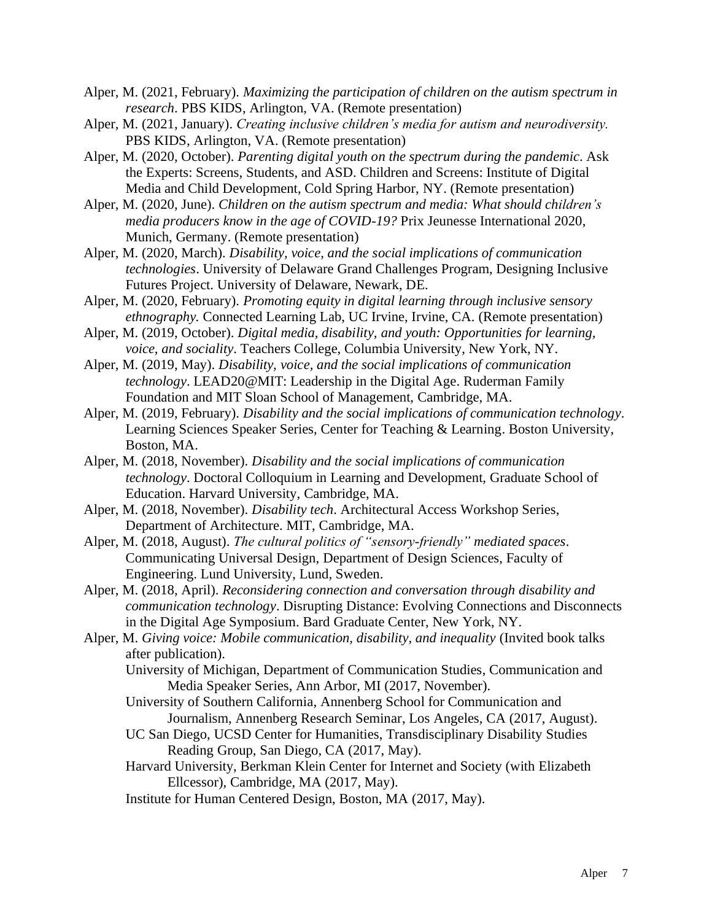- Alper, M. (2021, February). *Maximizing the participation of children on the autism spectrum in research*. PBS KIDS, Arlington, VA. (Remote presentation)
- Alper, M. (2021, January). *Creating inclusive children's media for autism and neurodiversity.*  PBS KIDS, Arlington, VA. (Remote presentation)
- Alper, M. (2020, October). *Parenting digital youth on the spectrum during the pandemic*. Ask the Experts: Screens, Students, and ASD. Children and Screens: Institute of Digital Media and Child Development, Cold Spring Harbor, NY. (Remote presentation)
- Alper, M. (2020, June). *Children on the autism spectrum and media: What should children's media producers know in the age of COVID-19?* Prix Jeunesse International 2020, Munich, Germany. (Remote presentation)
- Alper, M. (2020, March). *Disability, voice, and the social implications of communication technologies*. University of Delaware Grand Challenges Program, Designing Inclusive Futures Project. University of Delaware, Newark, DE.
- Alper, M. (2020, February). *Promoting equity in digital learning through inclusive sensory ethnography.* Connected Learning Lab, UC Irvine, Irvine, CA. (Remote presentation)
- Alper, M. (2019, October). *Digital media, disability, and youth: Opportunities for learning, voice, and sociality*. Teachers College, Columbia University, New York, NY.
- Alper, M. (2019, May). *Disability, voice, and the social implications of communication technology*. LEAD20@MIT: Leadership in the Digital Age. Ruderman Family Foundation and MIT Sloan School of Management, Cambridge, MA.
- Alper, M. (2019, February). *Disability and the social implications of communication technology*. Learning Sciences Speaker Series, Center for Teaching & Learning. Boston University, Boston, MA.
- Alper, M. (2018, November). *Disability and the social implications of communication technology*. Doctoral Colloquium in Learning and Development, Graduate School of Education. Harvard University, Cambridge, MA.
- Alper, M. (2018, November). *Disability tech*. Architectural Access Workshop Series, Department of Architecture. MIT, Cambridge, MA.
- Alper, M. (2018, August). *The cultural politics of "sensory-friendly" mediated spaces*. Communicating Universal Design, Department of Design Sciences, Faculty of Engineering. Lund University, Lund, Sweden.
- Alper, M. (2018, April). *Reconsidering connection and conversation through disability and communication technology*. Disrupting Distance: Evolving Connections and Disconnects in the Digital Age Symposium. Bard Graduate Center, New York, NY.
- Alper, M. *Giving voice: Mobile communication, disability, and inequality* (Invited book talks after publication).
	- University of Michigan, Department of Communication Studies, Communication and Media Speaker Series, Ann Arbor, MI (2017, November).
	- University of Southern California, Annenberg School for Communication and Journalism, Annenberg Research Seminar, Los Angeles, CA (2017, August).
	- UC San Diego, UCSD Center for Humanities, Transdisciplinary Disability Studies Reading Group, San Diego, CA (2017, May).
	- Harvard University, Berkman Klein Center for Internet and Society (with Elizabeth Ellcessor), Cambridge, MA (2017, May).
	- Institute for Human Centered Design, Boston, MA (2017, May).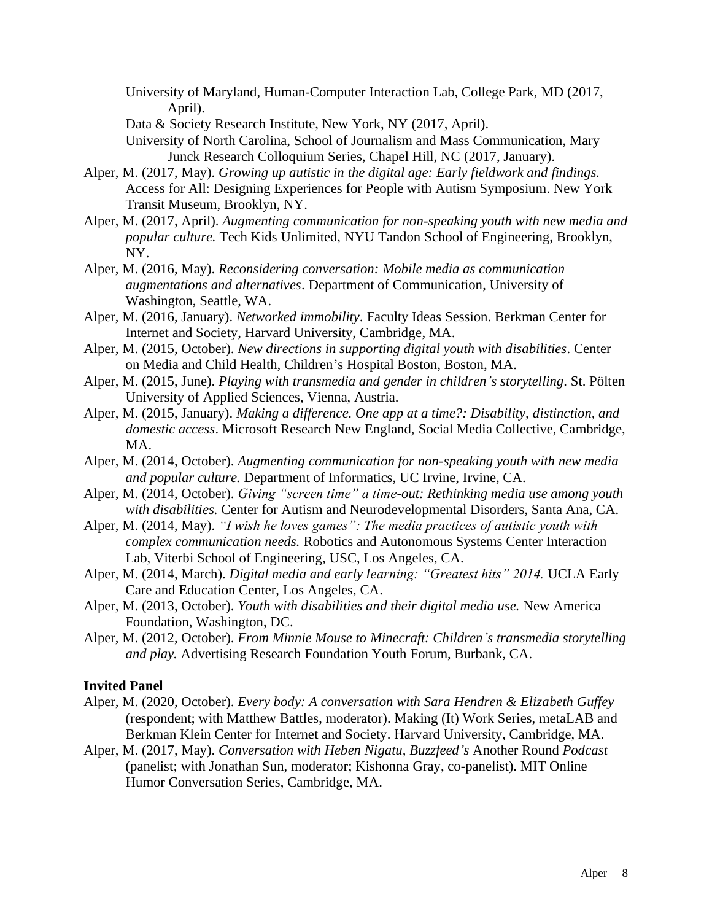University of Maryland, Human-Computer Interaction Lab, College Park, MD (2017, April).

Data & Society Research Institute, New York, NY (2017, April).

University of North Carolina, School of Journalism and Mass Communication, Mary Junck Research Colloquium Series, Chapel Hill, NC (2017, January).

- Alper, M. (2017, May). *Growing up autistic in the digital age: Early fieldwork and findings.* Access for All: Designing Experiences for People with Autism Symposium. New York Transit Museum, Brooklyn, NY.
- Alper, M. (2017, April). *Augmenting communication for non-speaking youth with new media and popular culture.* Tech Kids Unlimited, NYU Tandon School of Engineering, Brooklyn, NY.
- Alper, M. (2016, May). *Reconsidering conversation: Mobile media as communication augmentations and alternatives*. Department of Communication, University of Washington, Seattle, WA.
- Alper, M. (2016, January). *Networked immobility*. Faculty Ideas Session. Berkman Center for Internet and Society, Harvard University, Cambridge, MA.
- Alper, M. (2015, October). *New directions in supporting digital youth with disabilities*. Center on Media and Child Health, Children's Hospital Boston, Boston, MA.
- Alper, M. (2015, June). *Playing with transmedia and gender in children's storytelling*. St. Pölten University of Applied Sciences, Vienna, Austria.
- Alper, M. (2015, January). *Making a difference. One app at a time?: Disability, distinction, and domestic access*. Microsoft Research New England, Social Media Collective, Cambridge, MA.
- Alper, M. (2014, October). *Augmenting communication for non-speaking youth with new media and popular culture.* Department of Informatics, UC Irvine, Irvine, CA.
- Alper, M. (2014, October). *Giving "screen time" a time-out: Rethinking media use among youth with disabilities.* Center for Autism and Neurodevelopmental Disorders, Santa Ana, CA.
- Alper, M. (2014, May). *"I wish he loves games": The media practices of autistic youth with complex communication needs.* Robotics and Autonomous Systems Center Interaction Lab, Viterbi School of Engineering, USC, Los Angeles, CA.
- Alper, M. (2014, March). *Digital media and early learning: "Greatest hits" 2014.* UCLA Early Care and Education Center, Los Angeles, CA.
- Alper, M. (2013, October). *Youth with disabilities and their digital media use.* New America Foundation, Washington, DC.
- Alper, M. (2012, October). *From Minnie Mouse to Minecraft: Children's transmedia storytelling and play.* Advertising Research Foundation Youth Forum, Burbank, CA.

#### **Invited Panel**

- Alper, M. (2020, October). *Every body: A conversation with Sara Hendren & Elizabeth Guffey* (respondent; with Matthew Battles, moderator). Making (It) Work Series, metaLAB and Berkman Klein Center for Internet and Society. Harvard University, Cambridge, MA.
- Alper, M. (2017, May). *Conversation with Heben Nigatu, Buzzfeed's* Another Round *Podcast*  (panelist; with Jonathan Sun, moderator; Kishonna Gray, co-panelist). MIT Online Humor Conversation Series, Cambridge, MA.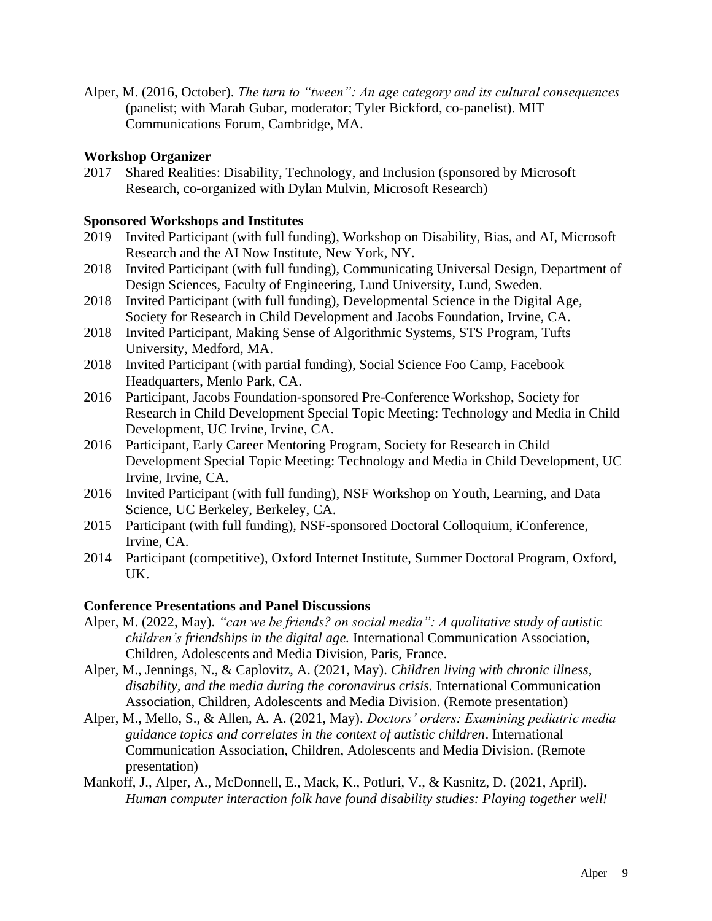Alper, M. (2016, October). *The turn to "tween": An age category and its cultural consequences* (panelist; with Marah Gubar, moderator; Tyler Bickford, co-panelist). MIT Communications Forum, Cambridge, MA.

# **Workshop Organizer**

2017 Shared Realities: Disability, Technology, and Inclusion (sponsored by Microsoft Research, co-organized with Dylan Mulvin, Microsoft Research)

### **Sponsored Workshops and Institutes**

- 2019 Invited Participant (with full funding), Workshop on Disability, Bias, and AI, Microsoft Research and the AI Now Institute, New York, NY.
- 2018 Invited Participant (with full funding), Communicating Universal Design, Department of Design Sciences, Faculty of Engineering, Lund University, Lund, Sweden.
- 2018 Invited Participant (with full funding), Developmental Science in the Digital Age, Society for Research in Child Development and Jacobs Foundation, Irvine, CA.
- 2018 Invited Participant, Making Sense of Algorithmic Systems, STS Program, Tufts University, Medford, MA.
- 2018 Invited Participant (with partial funding), Social Science Foo Camp, Facebook Headquarters, Menlo Park, CA.
- 2016 Participant, Jacobs Foundation-sponsored Pre-Conference Workshop, Society for Research in Child Development Special Topic Meeting: Technology and Media in Child Development, UC Irvine, Irvine, CA.
- 2016 Participant, Early Career Mentoring Program, Society for Research in Child Development Special Topic Meeting: Technology and Media in Child Development, UC Irvine, Irvine, CA.
- 2016 Invited Participant (with full funding), NSF Workshop on Youth, Learning, and Data Science, UC Berkeley, Berkeley, CA.
- 2015 Participant (with full funding), NSF-sponsored Doctoral Colloquium, iConference, Irvine, CA.
- 2014 Participant (competitive), Oxford Internet Institute, Summer Doctoral Program, Oxford, UK.

### **Conference Presentations and Panel Discussions**

- Alper, M. (2022, May). *"can we be friends? on social media": A qualitative study of autistic children's friendships in the digital age.* International Communication Association, Children, Adolescents and Media Division, Paris, France.
- Alper, M., Jennings, N., & Caplovitz, A. (2021, May). *Children living with chronic illness, disability, and the media during the coronavirus crisis.* International Communication Association, Children, Adolescents and Media Division. (Remote presentation)
- Alper, M., Mello, S., & Allen, A. A. (2021, May). *Doctors' orders: Examining pediatric media guidance topics and correlates in the context of autistic children*. International Communication Association, Children, Adolescents and Media Division. (Remote presentation)
- Mankoff, J., Alper, A., McDonnell, E., Mack, K., Potluri, V., & Kasnitz, D. (2021, April). *Human computer interaction folk have found disability studies: Playing together well!*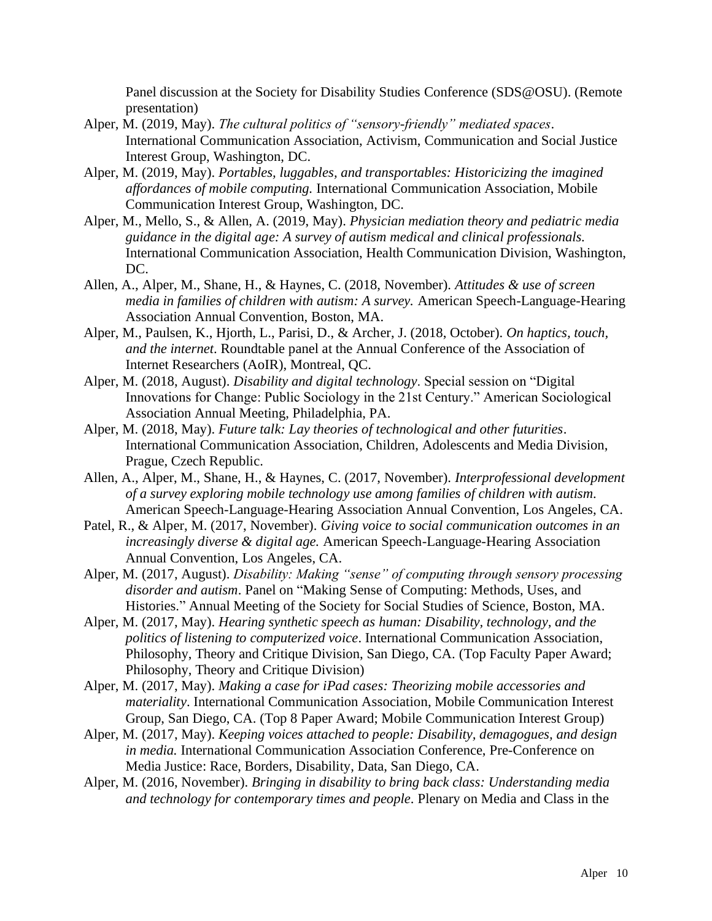Panel discussion at the Society for Disability Studies Conference (SDS@OSU). (Remote presentation)

- Alper, M. (2019, May). *The cultural politics of "sensory-friendly" mediated spaces*. International Communication Association, Activism, Communication and Social Justice Interest Group, Washington, DC.
- Alper, M. (2019, May). *Portables, luggables, and transportables: Historicizing the imagined affordances of mobile computing.* International Communication Association, Mobile Communication Interest Group, Washington, DC.
- Alper, M., Mello, S., & Allen, A. (2019, May). *Physician mediation theory and pediatric media guidance in the digital age: A survey of autism medical and clinical professionals.*  International Communication Association, Health Communication Division, Washington, DC.
- Allen, A., Alper, M., Shane, H., & Haynes, C. (2018, November). *Attitudes & use of screen media in families of children with autism: A survey.* American Speech-Language-Hearing Association Annual Convention, Boston, MA.
- Alper, M., Paulsen, K., Hjorth, L., Parisi, D., & Archer, J. (2018, October). *On haptics, touch, and the internet*. Roundtable panel at the Annual Conference of the Association of Internet Researchers (AoIR), Montreal, QC.
- Alper, M. (2018, August). *Disability and digital technology*. Special session on "Digital Innovations for Change: Public Sociology in the 21st Century." American Sociological Association Annual Meeting, Philadelphia, PA.
- Alper, M. (2018, May). *Future talk: Lay theories of technological and other futurities*. International Communication Association, Children, Adolescents and Media Division, Prague, Czech Republic.
- Allen, A., Alper, M., Shane, H., & Haynes, C. (2017, November). *Interprofessional development of a survey exploring mobile technology use among families of children with autism.* American Speech-Language-Hearing Association Annual Convention, Los Angeles, CA.
- Patel, R., & Alper, M. (2017, November). *Giving voice to social communication outcomes in an increasingly diverse & digital age.* American Speech-Language-Hearing Association Annual Convention, Los Angeles, CA.
- Alper, M. (2017, August). *Disability: Making "sense" of computing through sensory processing disorder and autism*. Panel on "Making Sense of Computing: Methods, Uses, and Histories." Annual Meeting of the Society for Social Studies of Science, Boston, MA.
- Alper, M. (2017, May). *Hearing synthetic speech as human: Disability, technology, and the politics of listening to computerized voice*. International Communication Association, Philosophy, Theory and Critique Division, San Diego, CA. (Top Faculty Paper Award; Philosophy, Theory and Critique Division)
- Alper, M. (2017, May). *Making a case for iPad cases: Theorizing mobile accessories and materiality*. International Communication Association, Mobile Communication Interest Group, San Diego, CA. (Top 8 Paper Award; Mobile Communication Interest Group)
- Alper, M. (2017, May). *Keeping voices attached to people: Disability, demagogues, and design in media.* International Communication Association Conference, Pre-Conference on Media Justice: Race, Borders, Disability, Data, San Diego, CA.
- Alper, M. (2016, November). *Bringing in disability to bring back class: Understanding media and technology for contemporary times and people*. Plenary on Media and Class in the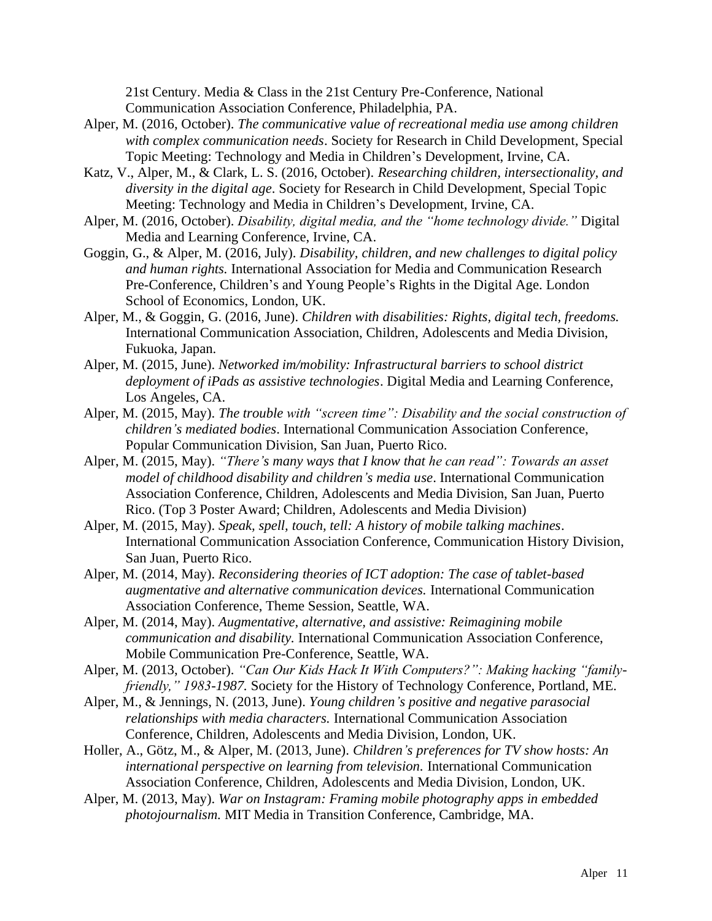21st Century. Media & Class in the 21st Century Pre-Conference, National Communication Association Conference, Philadelphia, PA.

- Alper, M. (2016, October). *The communicative value of recreational media use among children with complex communication needs*. Society for Research in Child Development, Special Topic Meeting: Technology and Media in Children's Development, Irvine, CA.
- Katz, V., Alper, M., & Clark, L. S. (2016, October). *Researching children, intersectionality, and diversity in the digital age*. Society for Research in Child Development, Special Topic Meeting: Technology and Media in Children's Development, Irvine, CA.
- Alper, M. (2016, October). *Disability, digital media, and the "home technology divide."* Digital Media and Learning Conference, Irvine, CA.
- Goggin, G., & Alper, M. (2016, July). *Disability, children, and new challenges to digital policy and human rights.* International Association for Media and Communication Research Pre-Conference, Children's and Young People's Rights in the Digital Age. London School of Economics, London, UK.
- Alper, M., & Goggin, G. (2016, June). *Children with disabilities: Rights, digital tech, freedoms.* International Communication Association, Children, Adolescents and Media Division, Fukuoka, Japan.
- Alper, M. (2015, June). *Networked im/mobility: Infrastructural barriers to school district deployment of iPads as assistive technologies*. Digital Media and Learning Conference, Los Angeles, CA.
- Alper, M. (2015, May). *The trouble with "screen time": Disability and the social construction of children's mediated bodies*. International Communication Association Conference, Popular Communication Division, San Juan, Puerto Rico.
- Alper, M. (2015, May). *"There's many ways that I know that he can read": Towards an asset model of childhood disability and children's media use*. International Communication Association Conference, Children, Adolescents and Media Division, San Juan, Puerto Rico. (Top 3 Poster Award; Children, Adolescents and Media Division)
- Alper, M. (2015, May). *Speak, spell, touch, tell: A history of mobile talking machines*. International Communication Association Conference, Communication History Division, San Juan, Puerto Rico.
- Alper, M. (2014, May). *Reconsidering theories of ICT adoption: The case of tablet-based augmentative and alternative communication devices.* International Communication Association Conference, Theme Session, Seattle, WA.
- Alper, M. (2014, May). *Augmentative, alternative, and assistive: Reimagining mobile communication and disability.* International Communication Association Conference, Mobile Communication Pre-Conference, Seattle, WA.
- Alper, M. (2013, October). *"Can Our Kids Hack It With Computers?": Making hacking "familyfriendly," 1983-1987.* Society for the History of Technology Conference, Portland, ME.
- Alper, M., & Jennings, N. (2013, June). *Young children's positive and negative parasocial relationships with media characters.* International Communication Association Conference, Children, Adolescents and Media Division, London, UK.
- Holler, A., Götz, M., & Alper, M. (2013, June). *Children's preferences for TV show hosts: An international perspective on learning from television.* International Communication Association Conference, Children, Adolescents and Media Division, London, UK.
- Alper, M. (2013, May). *War on Instagram: Framing mobile photography apps in embedded photojournalism.* MIT Media in Transition Conference, Cambridge, MA.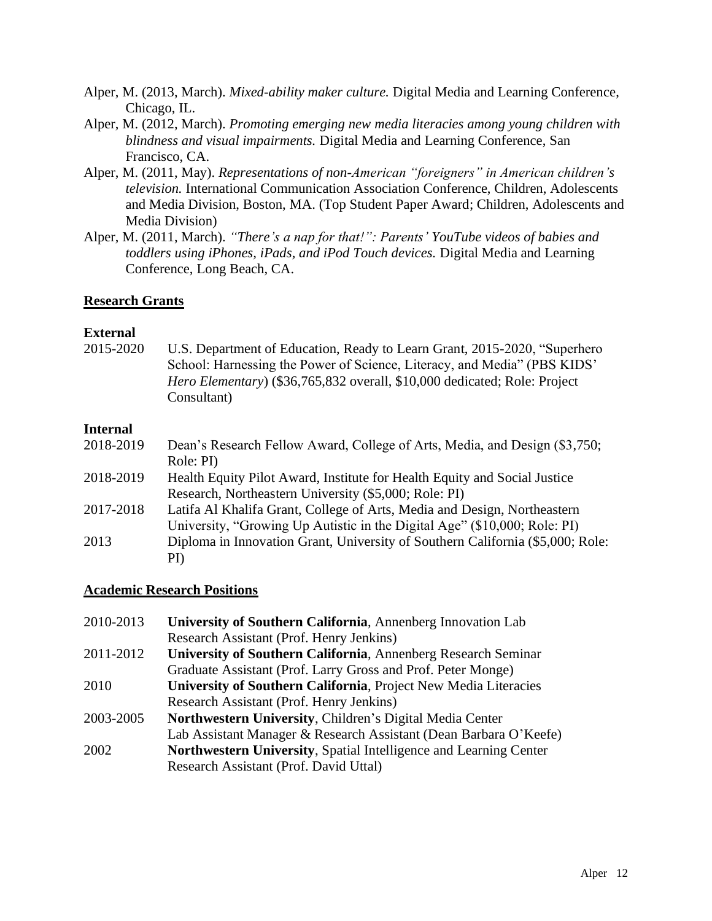- Alper, M. (2013, March). *Mixed-ability maker culture.* Digital Media and Learning Conference, Chicago, IL.
- Alper, M. (2012, March). *Promoting emerging new media literacies among young children with blindness and visual impairments.* Digital Media and Learning Conference, San Francisco, CA.
- Alper, M. (2011, May). *Representations of non-American "foreigners" in American children's television.* International Communication Association Conference, Children, Adolescents and Media Division, Boston, MA. (Top Student Paper Award; Children, Adolescents and Media Division)
- Alper, M. (2011, March). *"There's a nap for that!": Parents' YouTube videos of babies and toddlers using iPhones, iPads, and iPod Touch devices.* Digital Media and Learning Conference, Long Beach, CA.

# **Research Grants**

### **External**

2015-2020 U.S. Department of Education, Ready to Learn Grant, 2015-2020, "Superhero School: Harnessing the Power of Science, Literacy, and Media" (PBS KIDS' *Hero Elementary*) (\$36,765,832 overall, \$10,000 dedicated; Role: Project Consultant)

# **Internal**

| 2018-2019 | Dean's Research Fellow Award, College of Arts, Media, and Design (\$3,750;<br>Role: PI) |
|-----------|-----------------------------------------------------------------------------------------|
| 2018-2019 | Health Equity Pilot Award, Institute for Health Equity and Social Justice               |
|           | Research, Northeastern University (\$5,000; Role: PI)                                   |
| 2017-2018 | Latifa Al Khalifa Grant, College of Arts, Media and Design, Northeastern                |
|           | University, "Growing Up Autistic in the Digital Age" (\$10,000; Role: PI)               |
| 2013      | Diploma in Innovation Grant, University of Southern California (\$5,000; Role:          |
|           | $\rm{PI}$                                                                               |

### **Academic Research Positions**

| 2010-2013 | University of Southern California, Annenberg Innovation Lab       |
|-----------|-------------------------------------------------------------------|
|           | Research Assistant (Prof. Henry Jenkins)                          |
| 2011-2012 | University of Southern California, Annenberg Research Seminar     |
|           | Graduate Assistant (Prof. Larry Gross and Prof. Peter Monge)      |
| 2010      | University of Southern California, Project New Media Literacies   |
|           | Research Assistant (Prof. Henry Jenkins)                          |
| 2003-2005 | Northwestern University, Children's Digital Media Center          |
|           | Lab Assistant Manager & Research Assistant (Dean Barbara O'Keefe) |
| 2002      | Northwestern University, Spatial Intelligence and Learning Center |
|           | Research Assistant (Prof. David Uttal)                            |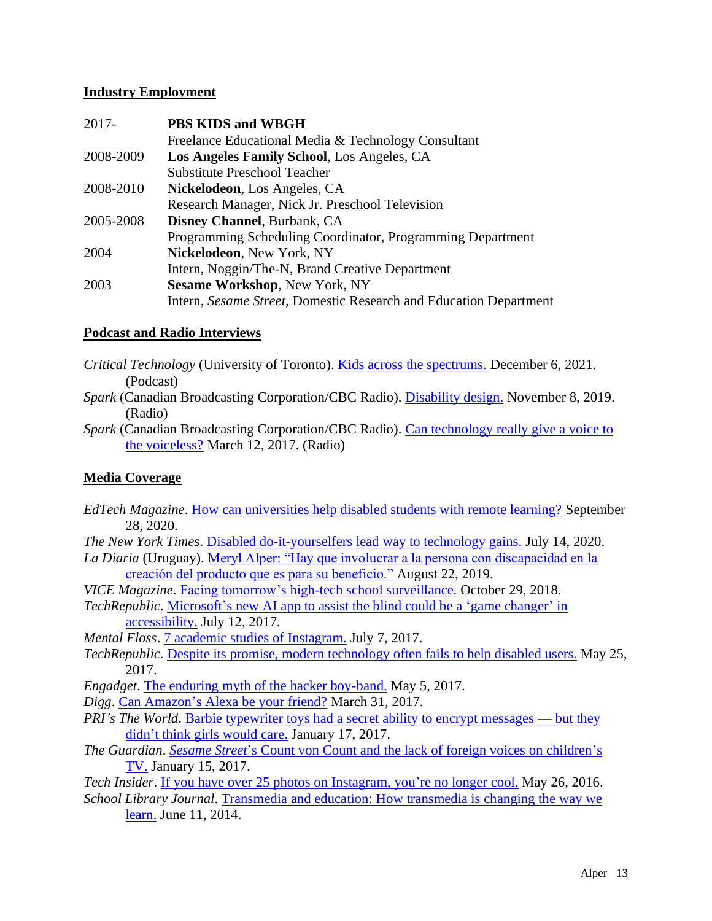# **Industry Employment**

| $2017 -$  | PBS KIDS and WBGH                                                 |
|-----------|-------------------------------------------------------------------|
|           | Freelance Educational Media & Technology Consultant               |
| 2008-2009 | Los Angeles Family School, Los Angeles, CA                        |
|           | <b>Substitute Preschool Teacher</b>                               |
| 2008-2010 | Nickelodeon, Los Angeles, CA                                      |
|           | Research Manager, Nick Jr. Preschool Television                   |
| 2005-2008 | Disney Channel, Burbank, CA                                       |
|           | Programming Scheduling Coordinator, Programming Department        |
| 2004      | Nickelodeon, New York, NY                                         |
|           | Intern, Noggin/The-N, Brand Creative Department                   |
| 2003      | <b>Sesame Workshop, New York, NY</b>                              |
|           | Intern, Sesame Street, Domestic Research and Education Department |
|           |                                                                   |

# **Podcast and Radio Interviews**

- *Critical Technology* (University of Toronto). [Kids across the spectrums.](https://kmdi.utoronto.ca/the-critical-technology-podcast/#pod-s2ep1) December 6, 2021. (Podcast)
- *Spark* (Canadian Broadcasting Corporation/CBC Radio). [Disability design.](https://www.cbc.ca/radio/spark/disabled-people-want-disability-design-not-disability-dongles-1.5353131) November 8, 2019. (Radio)
- *Spark* (Canadian Broadcasting Corporation/CBC Radio). [Can technology really give a voice to](http://www.cbc.ca/radio/spark/348-everyone-s-a-musician-no-one-is-the-boss-1.4015088/can-technology-really-give-a-voice-to-the-voiceless-1.4015333) [the voiceless?](http://www.cbc.ca/radio/spark/348-everyone-s-a-musician-no-one-is-the-boss-1.4015088/can-technology-really-give-a-voice-to-the-voiceless-1.4015333) March 12, 2017. (Radio)

# **Media Coverage**

- *EdTech Magazine*. [How can universities help disabled students with remote learning?](https://edtechmagazine.com/higher/article/2020/09/how-can-universities-help-disabled-students-remote-learning-perfcon) September 28, 2020.
- *The New York Times*. [Disabled do-it-yourselfers lead way to technology gains.](https://www.nytimes.com/2020/07/14/style/assistive-technology.html) July 14, 2020.
- *La Diaria* (Uruguay). [Meryl Alper: "Hay que involucrar a la persona con discapacidad en la](https://educacion.ladiaria.com.uy/articulo/2019/8/meryl-alper-hay-que-involucrar-a-la-persona-con-discapacidad-en-la-creacion-del-producto-que-es-para-su-beneficio/) [creación del producto que es para su beneficio."](https://educacion.ladiaria.com.uy/articulo/2019/8/meryl-alper-hay-que-involucrar-a-la-persona-con-discapacidad-en-la-creacion-del-producto-que-es-para-su-beneficio/) August 22, 2019.
- *VICE Magazine*. [Facing tomorrow's high-tech school surveillance.](https://motherboard.vice.com/en_us/article/j53ba3/facial-recognition-school-surveillance-v25n3) October 29, 2018.
- *TechRepublic*. [Microsoft's new AI app to assist the blind could be a 'game changer'](http://www.techrepublic.com/article/microsofts-new-ai-app-to-assist-the-blind-could-be-a-game-changer-in-accessibility/) in [accessibility.](http://www.techrepublic.com/article/microsofts-new-ai-app-to-assist-the-blind-could-be-a-game-changer-in-accessibility/) July 12, 2017.
- *Mental Floss*. [7 academic studies of Instagram.](http://mentalfloss.com/article/502639/7-academic-studies-instagram) July 7, 2017.
- *TechRepublic*. [Despite its promise, modern technology often fails to help disabled users.](http://www.techrepublic.com/article/despite-its-promise-modern-technology-often-fails-to-help-disabled-users/) May 25, 2017.

*Engadget*. [The enduring myth of the hacker boy-band.](https://www.engadget.com/2017/05/05/the-enduring-myth-of-the-hacker-boy-band/) May 5, 2017.

- *Digg*. [Can Amazon's Alexa be your friend?](https://digg.com/2017/amazon-alexa-is-not-your-friend) March 31, 2017.
- *PRI's The World*. [Barbie typewriter toys had a secret ability to encrypt messages —](https://www.pri.org/stories/2017-01-17/barbie-typewriter-toys-had-secret-ability-encrypt-messages-they-didnt-think-girls) but they [didn't think girls would care.](https://www.pri.org/stories/2017-01-17/barbie-typewriter-toys-had-secret-ability-encrypt-messages-they-didnt-think-girls) January 17, 2017.
- *The Guardian*. *Sesame Street*['s Count von Count and the lack of foreign voices on children's](https://www.theguardian.com/tv-and-radio/2017/jan/15/sesame-street-count-von-count-foreign-accents-childrens-tv) [TV.](https://www.theguardian.com/tv-and-radio/2017/jan/15/sesame-street-count-von-count-foreign-accents-childrens-tv) January 15, 2017.
- *Tech Insider*. [If you have over 25 photos on Instagram, you're no longer cool.](http://www.businessinsider.com/teens-curate-their-instagram-accounts-2016-5) May 26, 2016. *School Library Journal*. [Transmedia and education: How transmedia is changing the way we](http://www.thedigitalshift.com/2014/06/featured/many-ways-tell-story-transmedia-transforming-education-classrooms/) [learn.](http://www.thedigitalshift.com/2014/06/featured/many-ways-tell-story-transmedia-transforming-education-classrooms/) June 11, 2014.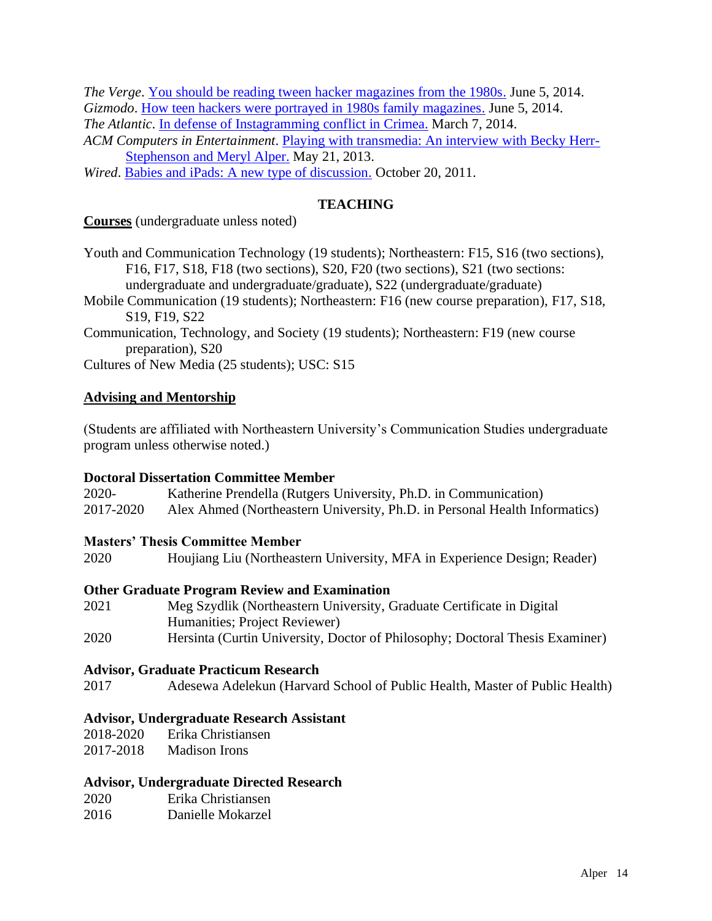*The Verge*. [You should be reading tween hacker magazines from the 1980s.](http://www.theverge.com/2014/6/5/5783860/you-should-be-reading-tween-hacker-magazines-from-the-1980s) June 5, 2014. *Gizmodo*. [How teen hackers were portrayed in 1980s family magazines.](http://gizmodo.com/how-teen-hackers-were-portrayed-in-1980s-family-magazin-1586512981) June 5, 2014. *The Atlantic*. [In defense of Instagramming conflict in Crimea.](http://www.theatlantic.com/international/archive/2014/03/in-defense-of-instagramming-conflict-in-crimea/284279/) March 7, 2014.

*ACM Computers in Entertainment*. [Playing with transmedia: An interview with Becky Herr-](http://cie.acm.org/articles/playing-transmedia-interview-becky-herr-stephenson-meryl-alper/)[Stephenson and Meryl Alper.](http://cie.acm.org/articles/playing-transmedia-interview-becky-herr-stephenson-meryl-alper/) May 21, 2013.

*Wired*. [Babies and iPads: A new type of discussion.](http://archive.wired.com/geekdad/2011/10/babies-and-ipads-a-new-type-of-discussion/) October 20, 2011.

# **TEACHING**

**Courses** (undergraduate unless noted)

Youth and Communication Technology (19 students); Northeastern: F15, S16 (two sections), F16, F17, S18, F18 (two sections), S20, F20 (two sections), S21 (two sections: undergraduate and undergraduate/graduate), S22 (undergraduate/graduate)

Mobile Communication (19 students); Northeastern: F16 (new course preparation), F17, S18, S19, F19, S22

Communication, Technology, and Society (19 students); Northeastern: F19 (new course preparation), S20

Cultures of New Media (25 students); USC: S15

# **Advising and Mentorship**

(Students are affiliated with Northeastern University's Communication Studies undergraduate program unless otherwise noted.)

### **Doctoral Dissertation Committee Member**

2020- Katherine Prendella (Rutgers University, Ph.D. in Communication) 2017-2020 Alex Ahmed (Northeastern University, Ph.D. in Personal Health Informatics)

### **Masters' Thesis Committee Member**

2020 Houjiang Liu (Northeastern University, MFA in Experience Design; Reader)

### **Other Graduate Program Review and Examination**

| 2021 | Meg Szydlik (Northeastern University, Graduate Certificate in Digital        |
|------|------------------------------------------------------------------------------|
|      | Humanities; Project Reviewer)                                                |
| 2020 | Hersinta (Curtin University, Doctor of Philosophy; Doctoral Thesis Examiner) |

### **Advisor, Graduate Practicum Research**

2017 Adesewa Adelekun (Harvard School of Public Health, Master of Public Health)

### **Advisor, Undergraduate Research Assistant**

| 2018-2020 | Erika Christiansen   |
|-----------|----------------------|
| 2017-2018 | <b>Madison Irons</b> |

### **Advisor, Undergraduate Directed Research**

| 2020 | Erika Christiansen |
|------|--------------------|
| 2016 | Danielle Mokarzel  |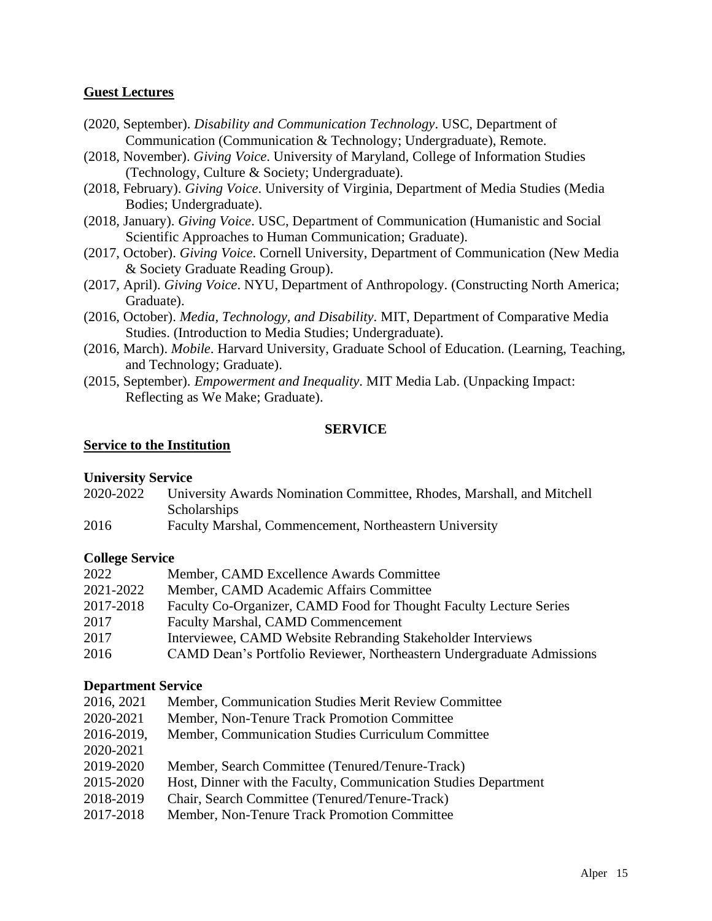# **Guest Lectures**

- (2020, September). *Disability and Communication Technology*. USC, Department of Communication (Communication & Technology; Undergraduate), Remote.
- (2018, November). *Giving Voice*. University of Maryland, College of Information Studies (Technology, Culture & Society; Undergraduate).
- (2018, February). *Giving Voice*. University of Virginia, Department of Media Studies (Media Bodies; Undergraduate).
- (2018, January). *Giving Voice*. USC, Department of Communication (Humanistic and Social Scientific Approaches to Human Communication; Graduate).
- (2017, October). *Giving Voice*. Cornell University, Department of Communication (New Media & Society Graduate Reading Group).
- (2017, April). *Giving Voice*. NYU, Department of Anthropology. (Constructing North America; Graduate).
- (2016, October). *Media, Technology, and Disability*. MIT, Department of Comparative Media Studies. (Introduction to Media Studies; Undergraduate).
- (2016, March). *Mobile*. Harvard University, Graduate School of Education. (Learning, Teaching, and Technology; Graduate).
- (2015, September). *Empowerment and Inequality*. MIT Media Lab. (Unpacking Impact: Reflecting as We Make; Graduate).

# **SERVICE**

### **Service to the Institution**

### **University Service**

- 2020-2022 University Awards Nomination Committee, Rhodes, Marshall, and Mitchell **Scholarships**
- 2016 Faculty Marshal, Commencement, Northeastern University

### **College Service**

| 2022      | Member, CAMD Excellence Awards Committee                              |
|-----------|-----------------------------------------------------------------------|
| 2021-2022 | Member, CAMD Academic Affairs Committee                               |
| 2017-2018 | Faculty Co-Organizer, CAMD Food for Thought Faculty Lecture Series    |
| 2017      | <b>Faculty Marshal, CAMD Commencement</b>                             |
| 2017      | Interviewee, CAMD Website Rebranding Stakeholder Interviews           |
| 2016      | CAMD Dean's Portfolio Reviewer, Northeastern Undergraduate Admissions |

### **Department Service**

| 2016, 2021 | Member, Communication Studies Merit Review Committee            |
|------------|-----------------------------------------------------------------|
| 2020-2021  | Member, Non-Tenure Track Promotion Committee                    |
| 2016-2019, | Member, Communication Studies Curriculum Committee              |
| 2020-2021  |                                                                 |
| 2019-2020  | Member, Search Committee (Tenured/Tenure-Track)                 |
| 2015-2020  | Host, Dinner with the Faculty, Communication Studies Department |
| 2018-2019  | Chair, Search Committee (Tenured/Tenure-Track)                  |
| 2017-2018  | Member, Non-Tenure Track Promotion Committee                    |
|            |                                                                 |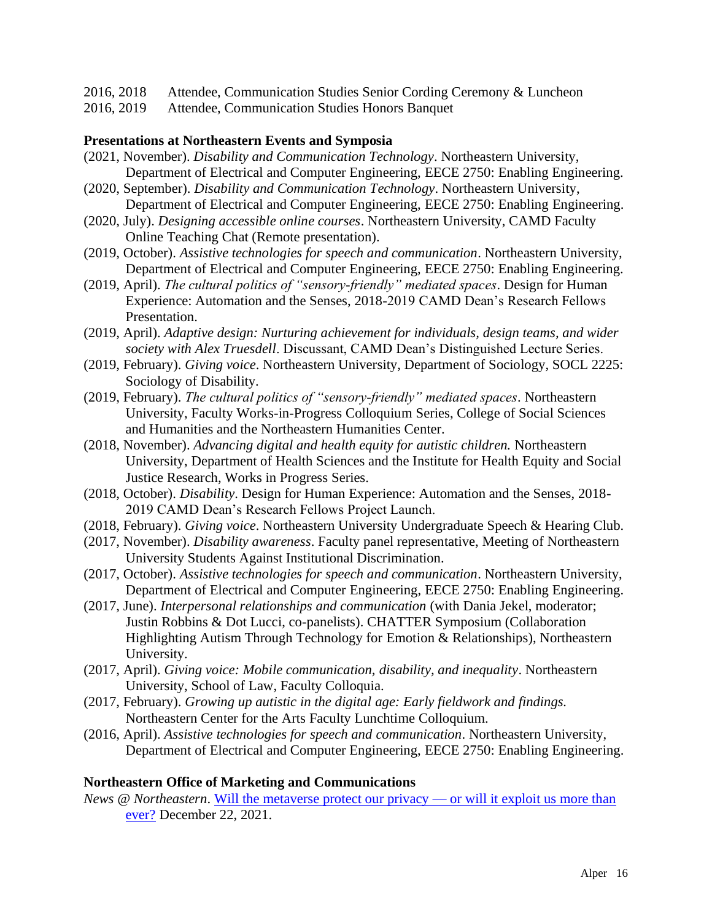- 2016, 2018 Attendee, Communication Studies Senior Cording Ceremony & Luncheon
- 2016, 2019 Attendee, Communication Studies Honors Banquet

# **Presentations at Northeastern Events and Symposia**

- (2021, November). *Disability and Communication Technology*. Northeastern University, Department of Electrical and Computer Engineering, EECE 2750: Enabling Engineering.
- (2020, September). *Disability and Communication Technology*. Northeastern University, Department of Electrical and Computer Engineering, EECE 2750: Enabling Engineering.
- (2020, July). *Designing accessible online courses*. Northeastern University, CAMD Faculty Online Teaching Chat (Remote presentation).
- (2019, October). *Assistive technologies for speech and communication*. Northeastern University, Department of Electrical and Computer Engineering, EECE 2750: Enabling Engineering.
- (2019, April). *The cultural politics of "sensory-friendly" mediated spaces*. Design for Human Experience: Automation and the Senses, 2018-2019 CAMD Dean's Research Fellows Presentation.
- (2019, April). *Adaptive design: Nurturing achievement for individuals, design teams, and wider society with Alex Truesdell*. Discussant, CAMD Dean's Distinguished Lecture Series.
- (2019, February). *Giving voice*. Northeastern University, Department of Sociology, SOCL 2225: Sociology of Disability.
- (2019, February). *The cultural politics of "sensory-friendly" mediated spaces*. Northeastern University, Faculty Works-in-Progress Colloquium Series, College of Social Sciences and Humanities and the Northeastern Humanities Center.
- (2018, November). *Advancing digital and health equity for autistic children.* Northeastern University, Department of Health Sciences and the Institute for Health Equity and Social Justice Research, Works in Progress Series.
- (2018, October). *Disability*. Design for Human Experience: Automation and the Senses, 2018- 2019 CAMD Dean's Research Fellows Project Launch.
- (2018, February). *Giving voice*. Northeastern University Undergraduate Speech & Hearing Club.
- (2017, November). *Disability awareness*. Faculty panel representative, Meeting of Northeastern University Students Against Institutional Discrimination.
- (2017, October). *Assistive technologies for speech and communication*. Northeastern University, Department of Electrical and Computer Engineering, EECE 2750: Enabling Engineering.
- (2017, June). *Interpersonal relationships and communication* (with Dania Jekel, moderator; Justin Robbins & Dot Lucci, co-panelists). CHATTER Symposium (Collaboration Highlighting Autism Through Technology for Emotion & Relationships), Northeastern University.
- (2017, April). *Giving voice: Mobile communication, disability, and inequality*. Northeastern University, School of Law, Faculty Colloquia.
- (2017, February). *Growing up autistic in the digital age: Early fieldwork and findings.*  Northeastern Center for the Arts Faculty Lunchtime Colloquium.
- (2016, April). *Assistive technologies for speech and communication*. Northeastern University, Department of Electrical and Computer Engineering, EECE 2750: Enabling Engineering.

### **Northeastern Office of Marketing and Communications**

*News* @ *Northeastern*. [Will the metaverse protect our privacy —](_wp_link_placeholder) or will it exploit us more than [ever?](_wp_link_placeholder) December 22, 2021.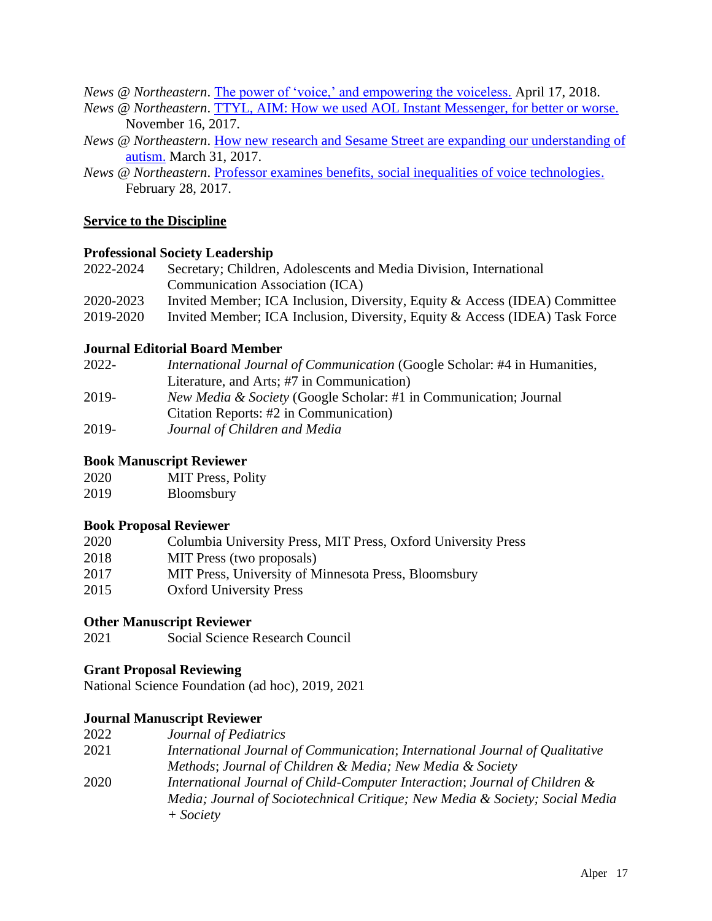*News @ Northeastern*. [The power of 'voice,' and empowering the voiceless.](https://news.northeastern.edu/2018/04/17/the-power-of-voice-and-empowering-the-voiceless/) April 17, 2018.

- *News @ Northeastern*. [TTYL, AIM: How we used AOL Instant Messenger, for better or worse.](https://news.northeastern.edu/2017/11/ttyl-aim/) November 16, 2017.
- *News @ Northeastern*. [How new research and Sesame Street are expanding our understanding of](http://news.northeastern.edu/2017/03/how-new-research-and-sesame-street-are-expanding-our-understanding-of-autism/) [autism.](http://news.northeastern.edu/2017/03/how-new-research-and-sesame-street-are-expanding-our-understanding-of-autism/) March 31, 2017.
- *News @ Northeastern.* [Professor examines benefits, social inequalities of voice technologies.](http://news.northeastern.edu/2017/02/professor-examines-benefits-social-inequalities-of-voice-technologies/) February 28, 2017.

# **Service to the Discipline**

### **Professional Society Leadership**

| 2022-2024<br>Secretary; Children, Adolescents and Media Division, International |                                                                             |
|---------------------------------------------------------------------------------|-----------------------------------------------------------------------------|
|                                                                                 | Communication Association (ICA)                                             |
| 2020-2023                                                                       | Invited Member; ICA Inclusion, Diversity, Equity & Access (IDEA) Committee  |
| 2019-2020                                                                       | Invited Member; ICA Inclusion, Diversity, Equity & Access (IDEA) Task Force |

# **Journal Editorial Board Member**

| 2022- | <i>International Journal of Communication (Google Scholar: #4 in Humanities, 1914)</i> |
|-------|----------------------------------------------------------------------------------------|
|       | Literature, and Arts; #7 in Communication)                                             |
| 2019- | <i>New Media &amp; Society</i> (Google Scholar: #1 in Communication; Journal           |
|       | Citation Reports: #2 in Communication)                                                 |
| 2019- | Journal of Children and Media                                                          |

### **Book Manuscript Reviewer**

| 2020 | <b>MIT Press, Polity</b> |  |
|------|--------------------------|--|
|------|--------------------------|--|

2019 Bloomsbury

# **Book Proposal Reviewer**

| 2020 | Columbia University Press, MIT Press, Oxford University Press |
|------|---------------------------------------------------------------|
| 2018 | MIT Press (two proposals)                                     |
| 2017 | MIT Press, University of Minnesota Press, Bloomsbury          |
| 2015 | <b>Oxford University Press</b>                                |

# **Other Manuscript Reviewer**

2021 Social Science Research Council

### **Grant Proposal Reviewing**

National Science Foundation (ad hoc), 2019, 2021

# **Journal Manuscript Reviewer**

2022 *Journal of Pediatrics* 2021 *International Journal of Communication*; *International Journal of Qualitative Methods*; *Journal of Children & Media; New Media & Society* 2020 *International Journal of Child-Computer Interaction*; *Journal of Children & Media; Journal of Sociotechnical Critique; New Media & Society; Social Media + Society*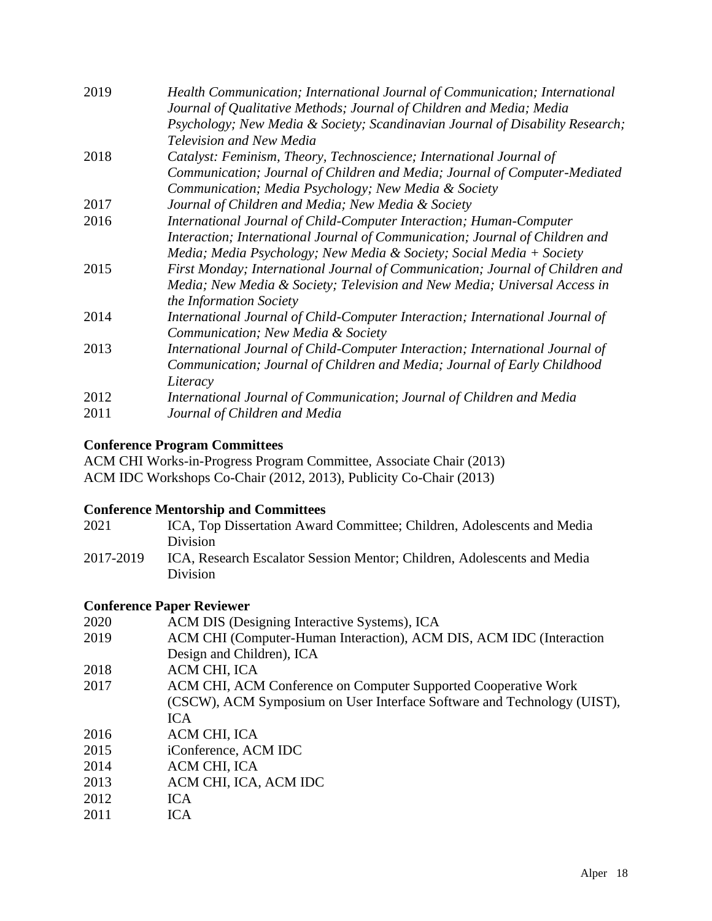| Health Communication; International Journal of Communication; International<br>Journal of Qualitative Methods; Journal of Children and Media; Media |
|-----------------------------------------------------------------------------------------------------------------------------------------------------|
| Psychology; New Media & Society; Scandinavian Journal of Disability Research;                                                                       |
| Television and New Media                                                                                                                            |
| Catalyst: Feminism, Theory, Technoscience; International Journal of                                                                                 |
| Communication; Journal of Children and Media; Journal of Computer-Mediated                                                                          |
| Communication; Media Psychology; New Media & Society                                                                                                |
| Journal of Children and Media; New Media & Society                                                                                                  |
| International Journal of Child-Computer Interaction; Human-Computer                                                                                 |
| Interaction; International Journal of Communication; Journal of Children and                                                                        |
| Media; Media Psychology; New Media & Society; Social Media + Society                                                                                |
| First Monday; International Journal of Communication; Journal of Children and                                                                       |
| Media; New Media & Society; Television and New Media; Universal Access in                                                                           |
| the Information Society                                                                                                                             |
| International Journal of Child-Computer Interaction; International Journal of                                                                       |
| Communication; New Media & Society                                                                                                                  |
| International Journal of Child-Computer Interaction; International Journal of                                                                       |
| Communication; Journal of Children and Media; Journal of Early Childhood                                                                            |
| Literacy                                                                                                                                            |
| International Journal of Communication; Journal of Children and Media                                                                               |
| Journal of Children and Media                                                                                                                       |
|                                                                                                                                                     |

# **Conference Program Committees**

ACM CHI Works-in-Progress Program Committee, Associate Chair (2013) ACM IDC Workshops Co-Chair (2012, 2013), Publicity Co-Chair (2013)

# **Conference Mentorship and Committees**

| 2021      | ICA, Top Dissertation Award Committee; Children, Adolescents and Media  |
|-----------|-------------------------------------------------------------------------|
|           | <b>Division</b>                                                         |
| 2017-2019 | ICA, Research Escalator Session Mentor; Children, Adolescents and Media |
|           | Division                                                                |

# **Conference Paper Reviewer**

| 2020 | ACM DIS (Designing Interactive Systems), ICA                            |
|------|-------------------------------------------------------------------------|
| 2019 | ACM CHI (Computer-Human Interaction), ACM DIS, ACM IDC (Interaction     |
|      | Design and Children), ICA                                               |
| 2018 | ACM CHI, ICA                                                            |
| 2017 | ACM CHI, ACM Conference on Computer Supported Cooperative Work          |
|      | (CSCW), ACM Symposium on User Interface Software and Technology (UIST), |
|      | <b>ICA</b>                                                              |
| 2016 | ACM CHI, ICA                                                            |
| 2015 | iConference, ACM IDC                                                    |
| 2014 | ACM CHI, ICA                                                            |
| 2013 | ACM CHI, ICA, ACM IDC                                                   |
| 2012 | <b>ICA</b>                                                              |
| 2011 | ICA                                                                     |